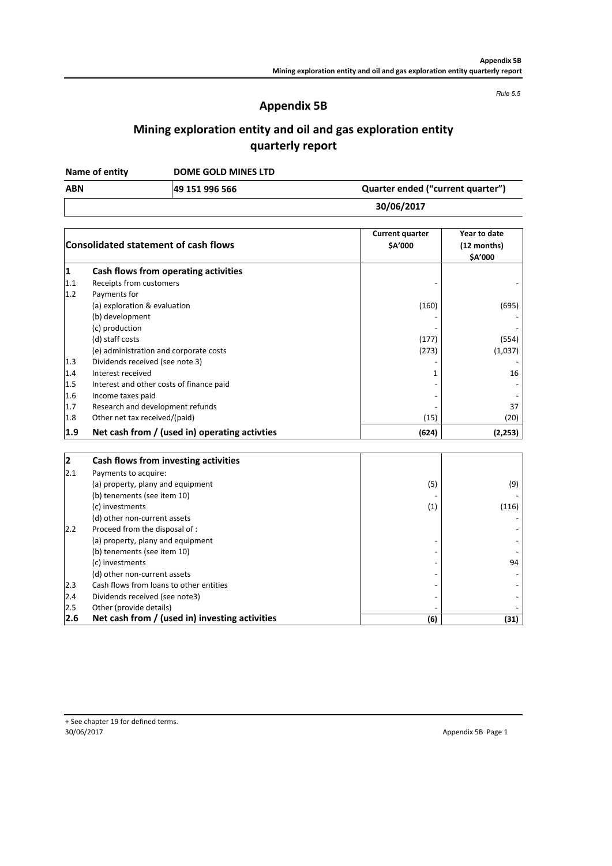*Rule 5.5*

## **Appendix 5B**

# **Mining exploration entity and oil and gas exploration entity quarterly report**

**DOME GOLD MINES LTD Name of entity**

**49 151 996 566**

**30/06/2017**

**ABN Quarter ended ("current quarter")**

|              | <b>Consolidated statement of cash flows</b>    | <b>Current quarter</b><br>\$A'000 | Year to date<br>(12 months)<br>\$A'000 |
|--------------|------------------------------------------------|-----------------------------------|----------------------------------------|
| $\mathbf{1}$ | Cash flows from operating activities           |                                   |                                        |
| 1.1          | Receipts from customers                        |                                   |                                        |
| 1.2          | Payments for                                   |                                   |                                        |
|              | (a) exploration & evaluation                   | (160)                             | (695)                                  |
|              | (b) development                                |                                   |                                        |
|              | (c) production                                 |                                   |                                        |
|              | (d) staff costs                                | (177)                             | (554)                                  |
|              | (e) administration and corporate costs         | (273)                             | (1,037)                                |
| 1.3          | Dividends received (see note 3)                |                                   |                                        |
| 1.4          | Interest received                              | 1                                 | 16                                     |
| 1.5          | Interest and other costs of finance paid       |                                   |                                        |
| 1.6          | Income taxes paid                              |                                   |                                        |
| 1.7          | Research and development refunds               |                                   | 37                                     |
| 1.8          | Other net tax received/(paid)                  | (15)                              | (20)                                   |
| 1.9          | Net cash from / (used in) operating activties  | (624)                             | (2, 253)                               |
| $\mathbf{2}$ | Cash flows from investing activities           |                                   |                                        |
| 2.1          | Payments to acquire:                           |                                   |                                        |
|              | (a) property, plany and equipment              | (5)                               | (9)                                    |
|              | (b) tenements (see item 10)                    |                                   |                                        |
|              | (c) investments                                | (1)                               | (116)                                  |
|              | (d) other non-current assets                   |                                   |                                        |
| 2.2          | Proceed from the disposal of :                 |                                   |                                        |
|              | (a) property, plany and equipment              |                                   |                                        |
|              | (b) tenements (see item 10)                    |                                   |                                        |
|              | (c) investments                                |                                   | 94                                     |
|              | (d) other non-current assets                   |                                   |                                        |
| 2.3          | Cash flows from loans to other entities        |                                   |                                        |
| 2.4          | Dividends received (see note3)                 |                                   |                                        |
| 2.5          | Other (provide details)                        |                                   |                                        |
| 2.6          | Net cash from / (used in) investing activities | (6)                               | (31)                                   |

Appendix 5B Page 1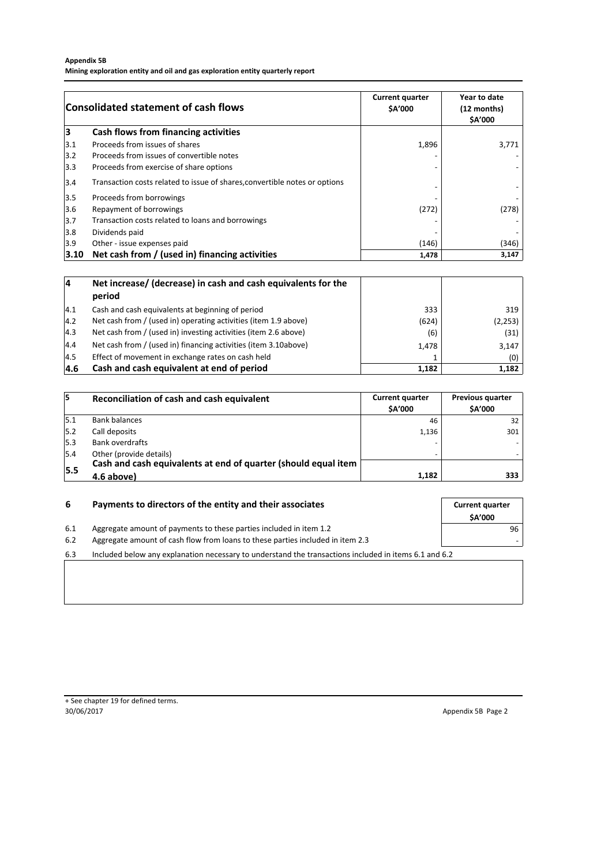#### **Appendix 5B**

**Mining exploration entity and oil and gas exploration entity quarterly report**

| <b>Consolidated statement of cash flows</b>                                        | <b>Current quarter</b><br><b>SA'000</b> | Year to date<br>(12 months)<br><b>SA'000</b> |
|------------------------------------------------------------------------------------|-----------------------------------------|----------------------------------------------|
| 3<br>Cash flows from financing activities                                          |                                         |                                              |
| Proceeds from issues of shares<br>3.1                                              | 1,896                                   | 3,771                                        |
| 3.2<br>Proceeds from issues of convertible notes                                   |                                         |                                              |
| 3.3<br>Proceeds from exercise of share options                                     |                                         |                                              |
| Transaction costs related to issue of shares, convertible notes or options<br> 3.4 |                                         |                                              |
| 3.5<br>Proceeds from borrowings                                                    |                                         |                                              |
| 3.6<br>Repayment of borrowings                                                     | (272)                                   | (278)                                        |
| 3.7<br>Transaction costs related to loans and borrowings                           |                                         |                                              |
| 3.8<br>Dividends paid                                                              |                                         |                                              |
| 3.9<br>Other - issue expenses paid                                                 | (146)                                   | (346)                                        |
| Net cash from / (used in) financing activities<br>3.10                             | 1,478                                   | 3,147                                        |

| 14            | Net increase/ (decrease) in cash and cash equivalents for the   |       |          |
|---------------|-----------------------------------------------------------------|-------|----------|
|               | period                                                          |       |          |
| 4.1           | Cash and cash equivalents at beginning of period                | 333   | 319      |
| 4.2           | Net cash from / (used in) operating activities (item 1.9 above) | (624) | (2, 253) |
| $ 4.3\rangle$ | Net cash from / (used in) investing activities (item 2.6 above) | (6)   | (31)     |
| 4.4           | Net cash from / (used in) financing activities (item 3.10above) | 1,478 | 3,147    |
| 14.5          | Effect of movement in exchange rates on cash held               |       | (0)      |
| 4.6           | Cash and cash equivalent at end of period                       | 1,182 | 1,182    |

| 15   | Reconciliation of cash and cash equivalent                                                | <b>Current quarter</b><br><b>SA'000</b> | <b>Previous quarter</b><br>\$A'000 |
|------|-------------------------------------------------------------------------------------------|-----------------------------------------|------------------------------------|
| 15.1 | <b>Bank balances</b>                                                                      | 46                                      | 32                                 |
| 15.2 | Call deposits                                                                             | 1,136                                   | 301                                |
| 15.3 | <b>Bank overdrafts</b>                                                                    |                                         |                                    |
| 5.4  | Other (provide details)<br>Cash and cash equivalents at end of quarter (should equal item |                                         |                                    |
| 15.5 | 4.6 above)                                                                                | 1,182                                   | 333                                |

| 6   | Payments to directors of the entity and their associates                                              | <b>Current quarter</b><br><b>SA'000</b> |
|-----|-------------------------------------------------------------------------------------------------------|-----------------------------------------|
| 6.1 | Aggregate amount of payments to these parties included in item 1.2                                    | 96                                      |
| 6.2 | Aggregate amount of cash flow from loans to these parties included in item 2.3                        | $\overline{\phantom{0}}$                |
| 6.3 | Included below any explanation necessary to understand the transactions included in items 6.1 and 6.2 |                                         |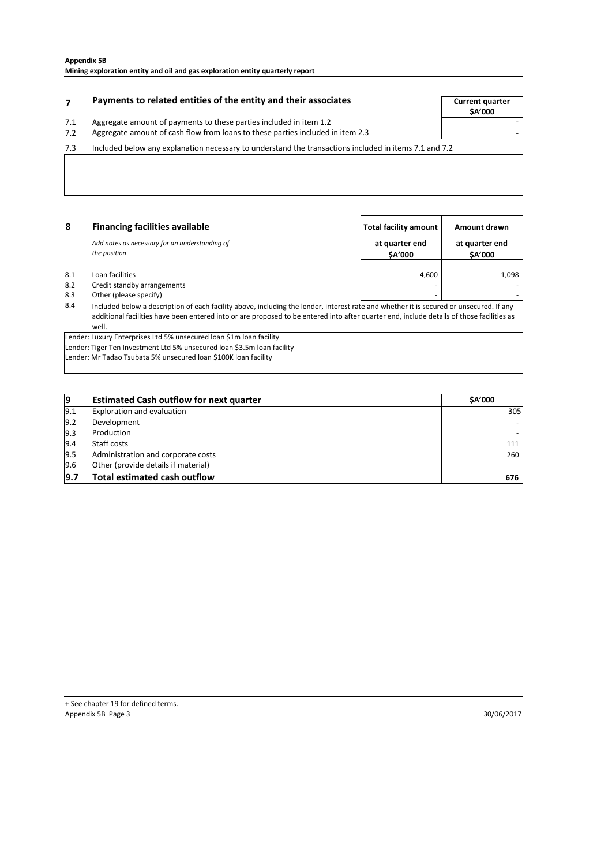# **Payments to related entities of the entity and their associates The Current quarter**

- 7.1 Aggregate amount of payments to these parties included in item 1.2
- 7.2 Aggregate amount of cash flow from Ioans to these parties included in item 2.3

7.3 Included below any explanation necessary to understand the transactions included in items 7.1 and 7.2

| 8   | <b>Financing facilities available</b>                          | Total facility amount           | Amount drawn              |
|-----|----------------------------------------------------------------|---------------------------------|---------------------------|
|     | Add notes as necessary for an understanding of<br>the position | at quarter end<br><b>SA'000</b> | at quarter end<br>\$A'000 |
| 8.1 | Loan facilities                                                | 4.600                           | 1,098                     |
| 8.2 | Credit standby arrangements                                    |                                 | -                         |
| 8.3 | Other (please specify)                                         |                                 | -                         |

8.4 Included below a description of each facility above, including the lender, interest rate and whether it is secured or unsecured. If any additional facilities have been entered into or are proposed to be entered into after quarter end, include details of those facilities as well.

Lender: Luxury Enterprises Ltd 5% unsecured loan \$1m loan facility Lender: Tiger Ten Investment Ltd 5% unsecured loan \$3.5m loan facility

Lender: Mr Tadao Tsubata 5% unsecured loan \$100K loan facility

| 9   | <b>Estimated Cash outflow for next quarter</b> | <b>SA'000</b> |
|-----|------------------------------------------------|---------------|
| 9.1 | Exploration and evaluation                     | 305           |
| 9.2 | Development                                    | -             |
| 9.3 | Production                                     |               |
| 9.4 | Staff costs                                    | 111           |
| 9.5 | Administration and corporate costs             | 260           |
| 9.6 | Other (provide details if material)            |               |
| 9.7 | <b>Total estimated cash outflow</b>            | 676           |

**\$A'000**